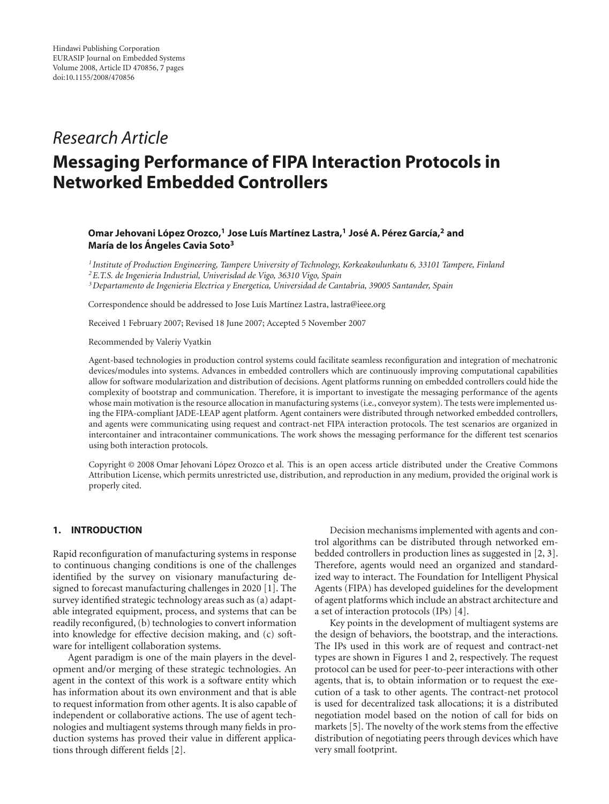# *Research Article*

# **Messaging Performance of FIPA Interaction Protocols in Networked Embedded Controllers**

# **Omar Jehovani Lopez Orozco, ´ <sup>1</sup> Jose Lu´ıs Mart´ınez Lastra,1 Jose A. P ´ erez Garc ´ ´ıa,2 and María de los Ángeles Cavia Soto**<sup>3</sup>

*<sup>1</sup> Institute of Production Engineering, Tampere University of Technology, Korkeakoulunkatu 6, 33101 Tampere, Finland 2E.T.S. de Ingenieria Industrial, Univerisdad de Vigo, 36310 Vigo, Spain 3Departamento de Ingenieria Electrica y Energetica, Universidad de Cantabria, 39005 Santander, Spain*

Correspondence should be addressed to Jose Luís Martínez Lastra, lastra@ieee.org

Received 1 February 2007; Revised 18 June 2007; Accepted 5 November 2007

Recommended by Valeriy Vyatkin

Agent-based technologies in production control systems could facilitate seamless reconfiguration and integration of mechatronic devices/modules into systems. Advances in embedded controllers which are continuously improving computational capabilities allow for software modularization and distribution of decisions. Agent platforms running on embedded controllers could hide the complexity of bootstrap and communication. Therefore, it is important to investigate the messaging performance of the agents whose main motivation is the resource allocation in manufacturing systems (i.e., conveyor system). The tests were implemented using the FIPA-compliant JADE-LEAP agent platform. Agent containers were distributed through networked embedded controllers, and agents were communicating using request and contract-net FIPA interaction protocols. The test scenarios are organized in intercontainer and intracontainer communications. The work shows the messaging performance for the different test scenarios using both interaction protocols.

Copyright © 2008 Omar Jehovani López Orozco et al. This is an open access article distributed under the Creative Commons Attribution License, which permits unrestricted use, distribution, and reproduction in any medium, provided the original work is properly cited.

#### **1. INTRODUCTION**

Rapid reconfiguration of manufacturing systems in response to continuous changing conditions is one of the challenges identified by the survey on visionary manufacturing designed to forecast manufacturing challenges in 2020 [1]. The survey identified strategic technology areas such as (a) adaptable integrated equipment, process, and systems that can be readily reconfigured, (b) technologies to convert information into knowledge for effective decision making, and (c) software for intelligent collaboration systems.

Agent paradigm is one of the main players in the development and/or merging of these strategic technologies. An agent in the context of this work is a software entity which has information about its own environment and that is able to request information from other agents. It is also capable of independent or collaborative actions. The use of agent technologies and multiagent systems through many fields in production systems has proved their value in different applications through different fields [2].

Decision mechanisms implemented with agents and control algorithms can be distributed through networked embedded controllers in production lines as suggested in [2, 3]. Therefore, agents would need an organized and standardized way to interact. The Foundation for Intelligent Physical Agents (FIPA) has developed guidelines for the development of agent platforms which include an abstract architecture and a set of interaction protocols (IPs) [4].

Key points in the development of multiagent systems are the design of behaviors, the bootstrap, and the interactions. The IPs used in this work are of request and contract-net types are shown in Figures 1 and 2, respectively. The request protocol can be used for peer-to-peer interactions with other agents, that is, to obtain information or to request the execution of a task to other agents. The contract-net protocol is used for decentralized task allocations; it is a distributed negotiation model based on the notion of call for bids on markets [5]. The novelty of the work stems from the effective distribution of negotiating peers through devices which have very small footprint.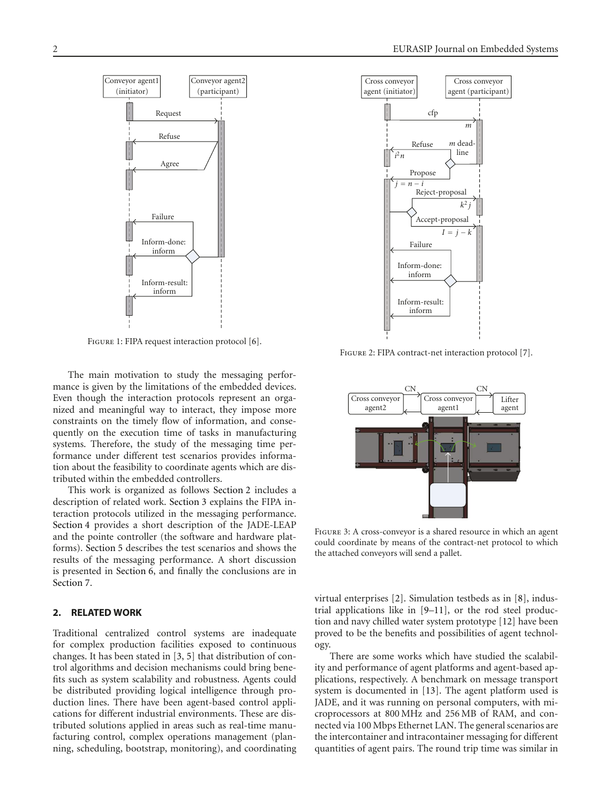

FIGURE 1: FIPA request interaction protocol [6].

The main motivation to study the messaging performance is given by the limitations of the embedded devices. Even though the interaction protocols represent an organized and meaningful way to interact, they impose more constraints on the timely flow of information, and consequently on the execution time of tasks in manufacturing systems. Therefore, the study of the messaging time performance under different test scenarios provides information about the feasibility to coordinate agents which are distributed within the embedded controllers.

This work is organized as follows Section 2 includes a description of related work. Section 3 explains the FIPA interaction protocols utilized in the messaging performance. Section 4 provides a short description of the JADE-LEAP and the pointe controller (the software and hardware platforms). Section 5 describes the test scenarios and shows the results of the messaging performance. A short discussion is presented in Section 6, and finally the conclusions are in Section 7.

#### **2. RELATED WORK**

Traditional centralized control systems are inadequate for complex production facilities exposed to continuous changes. It has been stated in [3, 5] that distribution of control algorithms and decision mechanisms could bring benefits such as system scalability and robustness. Agents could be distributed providing logical intelligence through production lines. There have been agent-based control applications for different industrial environments. These are distributed solutions applied in areas such as real-time manufacturing control, complex operations management (planning, scheduling, bootstrap, monitoring), and coordinating



Figure 2: FIPA contract-net interaction protocol [7].



Figure 3: A cross-conveyor is a shared resource in which an agent could coordinate by means of the contract-net protocol to which the attached conveyors will send a pallet.

virtual enterprises [2]. Simulation testbeds as in [8], industrial applications like in [9–11], or the rod steel production and navy chilled water system prototype [12] have been proved to be the benefits and possibilities of agent technology.

There are some works which have studied the scalability and performance of agent platforms and agent-based applications, respectively. A benchmark on message transport system is documented in [13]. The agent platform used is JADE, and it was running on personal computers, with microprocessors at 800 MHz and 256 MB of RAM, and connected via 100 Mbps Ethernet LAN. The general scenarios are the intercontainer and intracontainer messaging for different quantities of agent pairs. The round trip time was similar in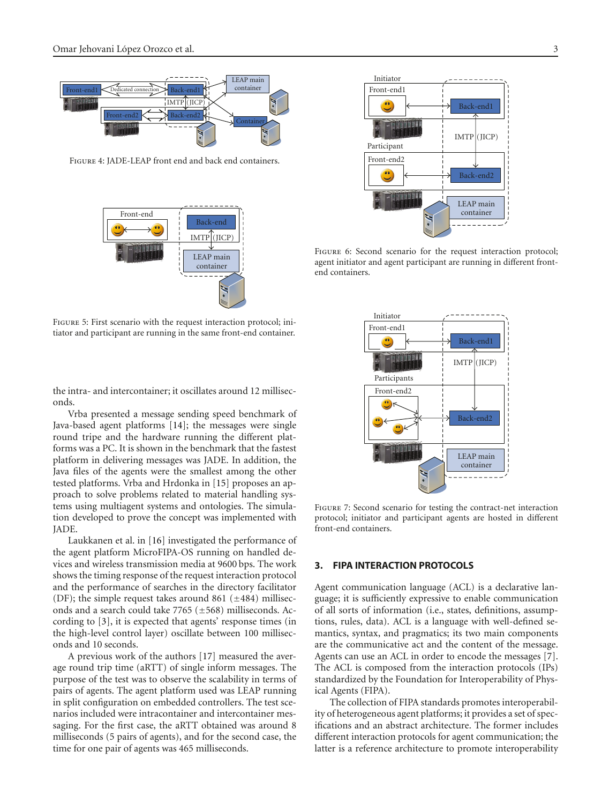

Figure 4: JADE-LEAP front end and back end containers.



FIGURE 5: First scenario with the request interaction protocol; initiator and participant are running in the same front-end container.

the intra- and intercontainer; it oscillates around 12 milliseconds.

Vrba presented a message sending speed benchmark of Java-based agent platforms [14]; the messages were single round tripe and the hardware running the different platforms was a PC. It is shown in the benchmark that the fastest platform in delivering messages was JADE. In addition, the Java files of the agents were the smallest among the other tested platforms. Vrba and Hrdonka in [15] proposes an approach to solve problems related to material handling systems using multiagent systems and ontologies. The simulation developed to prove the concept was implemented with JADE.

Laukkanen et al. in [16] investigated the performance of the agent platform MicroFIPA-OS running on handled devices and wireless transmission media at 9600 bps. The work shows the timing response of the request interaction protocol and the performance of searches in the directory facilitator (DF); the simple request takes around 861 ( $\pm$ 484) milliseconds and a search could take 7765 (±568) milliseconds. According to [3], it is expected that agents' response times (in the high-level control layer) oscillate between 100 milliseconds and 10 seconds.

A previous work of the authors [17] measured the average round trip time (aRTT) of single inform messages. The purpose of the test was to observe the scalability in terms of pairs of agents. The agent platform used was LEAP running in split configuration on embedded controllers. The test scenarios included were intracontainer and intercontainer messaging. For the first case, the aRTT obtained was around 8 milliseconds (5 pairs of agents), and for the second case, the time for one pair of agents was 465 milliseconds.



FIGURE 6: Second scenario for the request interaction protocol; agent initiator and agent participant are running in different frontend containers.



Figure 7: Second scenario for testing the contract-net interaction protocol; initiator and participant agents are hosted in different front-end containers.

#### **3. FIPA INTERACTION PROTOCOLS**

Agent communication language (ACL) is a declarative language; it is sufficiently expressive to enable communication of all sorts of information (i.e., states, definitions, assumptions, rules, data). ACL is a language with well-defined semantics, syntax, and pragmatics; its two main components are the communicative act and the content of the message. Agents can use an ACL in order to encode the messages [7]. The ACL is composed from the interaction protocols (IPs) standardized by the Foundation for Interoperability of Physical Agents (FIPA).

The collection of FIPA standards promotes interoperability of heterogeneous agent platforms; it provides a set of specifications and an abstract architecture. The former includes different interaction protocols for agent communication; the latter is a reference architecture to promote interoperability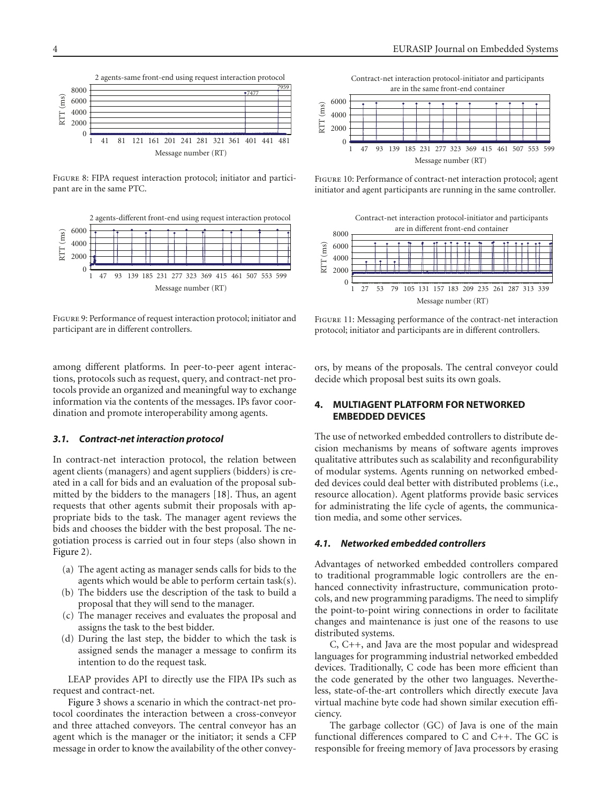

Figure 8: FIPA request interaction protocol; initiator and participant are in the same PTC.



Figure 9: Performance of request interaction protocol; initiator and participant are in different controllers.

among different platforms. In peer-to-peer agent interactions, protocols such as request, query, and contract-net protocols provide an organized and meaningful way to exchange information via the contents of the messages. IPs favor coordination and promote interoperability among agents.

#### *3.1. Contract-net interaction protocol*

In contract-net interaction protocol, the relation between agent clients (managers) and agent suppliers (bidders) is created in a call for bids and an evaluation of the proposal submitted by the bidders to the managers [18]. Thus, an agent requests that other agents submit their proposals with appropriate bids to the task. The manager agent reviews the bids and chooses the bidder with the best proposal. The negotiation process is carried out in four steps (also shown in Figure 2).

- (a) The agent acting as manager sends calls for bids to the agents which would be able to perform certain task(s).
- (b) The bidders use the description of the task to build a proposal that they will send to the manager.
- (c) The manager receives and evaluates the proposal and assigns the task to the best bidder.
- (d) During the last step, the bidder to which the task is assigned sends the manager a message to confirm its intention to do the request task.

LEAP provides API to directly use the FIPA IPs such as request and contract-net.

Figure 3 shows a scenario in which the contract-net protocol coordinates the interaction between a cross-conveyor and three attached conveyors. The central conveyor has an agent which is the manager or the initiator; it sends a CFP message in order to know the availability of the other convey-

Contract-net interaction protocol-initiator and participants are in the same front-end container





Contract-net interaction protocol-initiator and participants are in different front-end container



Figure 11: Messaging performance of the contract-net interaction protocol; initiator and participants are in different controllers.

ors, by means of the proposals. The central conveyor could decide which proposal best suits its own goals.

### **4. MULTIAGENT PLATFORM FOR NETWORKED EMBEDDED DEVICES**

The use of networked embedded controllers to distribute decision mechanisms by means of software agents improves qualitative attributes such as scalability and reconfigurability of modular systems. Agents running on networked embedded devices could deal better with distributed problems (i.e., resource allocation). Agent platforms provide basic services for administrating the life cycle of agents, the communication media, and some other services.

#### *4.1. Networked embedded controllers*

Advantages of networked embedded controllers compared to traditional programmable logic controllers are the enhanced connectivity infrastructure, communication protocols, and new programming paradigms. The need to simplify the point-to-point wiring connections in order to facilitate changes and maintenance is just one of the reasons to use distributed systems.

C, C++, and Java are the most popular and widespread languages for programming industrial networked embedded devices. Traditionally, C code has been more efficient than the code generated by the other two languages. Nevertheless, state-of-the-art controllers which directly execute Java virtual machine byte code had shown similar execution efficiency.

The garbage collector (GC) of Java is one of the main functional differences compared to C and C++. The GC is responsible for freeing memory of Java processors by erasing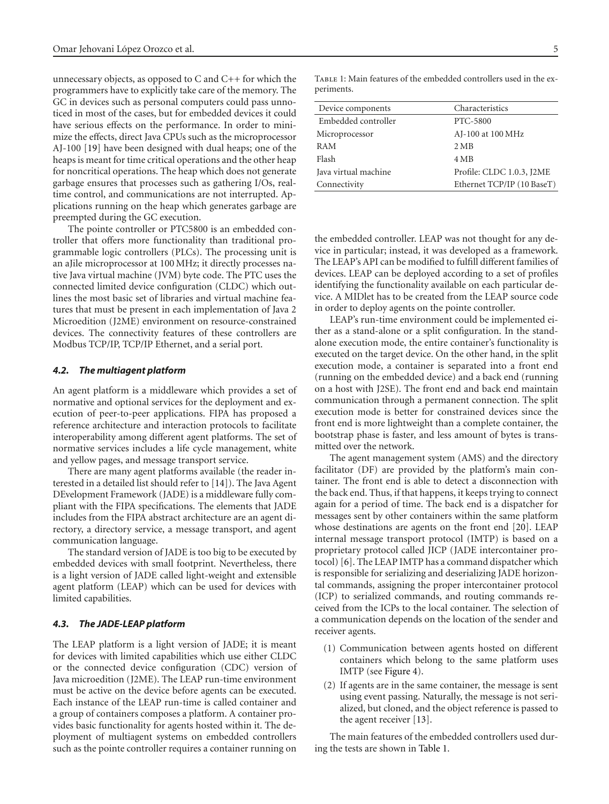unnecessary objects, as opposed to C and C++ for which the programmers have to explicitly take care of the memory. The GC in devices such as personal computers could pass unnoticed in most of the cases, but for embedded devices it could have serious effects on the performance. In order to minimize the effects, direct Java CPUs such as the microprocessor AJ-100 [19] have been designed with dual heaps; one of the heaps is meant for time critical operations and the other heap for noncritical operations. The heap which does not generate garbage ensures that processes such as gathering I/Os, realtime control, and communications are not interrupted. Applications running on the heap which generates garbage are preempted during the GC execution.

The pointe controller or PTC5800 is an embedded controller that offers more functionality than traditional programmable logic controllers (PLCs). The processing unit is an aJile microprocessor at 100 MHz; it directly processes native Java virtual machine (JVM) byte code. The PTC uses the connected limited device configuration (CLDC) which outlines the most basic set of libraries and virtual machine features that must be present in each implementation of Java 2 Microedition (J2ME) environment on resource-constrained devices. The connectivity features of these controllers are Modbus TCP/IP, TCP/IP Ethernet, and a serial port.

#### *4.2. The multiagent platform*

An agent platform is a middleware which provides a set of normative and optional services for the deployment and execution of peer-to-peer applications. FIPA has proposed a reference architecture and interaction protocols to facilitate interoperability among different agent platforms. The set of normative services includes a life cycle management, white and yellow pages, and message transport service.

There are many agent platforms available (the reader interested in a detailed list should refer to [14]). The Java Agent DEvelopment Framework (JADE) is a middleware fully compliant with the FIPA specifications. The elements that JADE includes from the FIPA abstract architecture are an agent directory, a directory service, a message transport, and agent communication language.

The standard version of JADE is too big to be executed by embedded devices with small footprint. Nevertheless, there is a light version of JADE called light-weight and extensible agent platform (LEAP) which can be used for devices with limited capabilities.

#### *4.3. The JADE-LEAP platform*

The LEAP platform is a light version of JADE; it is meant for devices with limited capabilities which use either CLDC or the connected device configuration (CDC) version of Java microedition (J2ME). The LEAP run-time environment must be active on the device before agents can be executed. Each instance of the LEAP run-time is called container and a group of containers composes a platform. A container provides basic functionality for agents hosted within it. The deployment of multiagent systems on embedded controllers such as the pointe controller requires a container running on

Table 1: Main features of the embedded controllers used in the experiments.

| Device components    | Characteristics            |  |
|----------------------|----------------------------|--|
| Embedded controller  | PTC-5800                   |  |
| Microprocessor       | AJ-100 at 100 MHz          |  |
| RAM                  | $2 \text{ MB}$             |  |
| Flash                | 4 MB                       |  |
| Java virtual machine | Profile: CLDC 1.0.3, J2ME  |  |
| Connectivity         | Ethernet TCP/IP (10 BaseT) |  |

the embedded controller. LEAP was not thought for any device in particular; instead, it was developed as a framework. The LEAP's API can be modified to fulfill different families of devices. LEAP can be deployed according to a set of profiles identifying the functionality available on each particular device. A MIDlet has to be created from the LEAP source code in order to deploy agents on the pointe controller.

LEAP's run-time environment could be implemented either as a stand-alone or a split configuration. In the standalone execution mode, the entire container's functionality is executed on the target device. On the other hand, in the split execution mode, a container is separated into a front end (running on the embedded device) and a back end (running on a host with J2SE). The front end and back end maintain communication through a permanent connection. The split execution mode is better for constrained devices since the front end is more lightweight than a complete container, the bootstrap phase is faster, and less amount of bytes is transmitted over the network.

The agent management system (AMS) and the directory facilitator (DF) are provided by the platform's main container. The front end is able to detect a disconnection with the back end. Thus, if that happens, it keeps trying to connect again for a period of time. The back end is a dispatcher for messages sent by other containers within the same platform whose destinations are agents on the front end [20]. LEAP internal message transport protocol (IMTP) is based on a proprietary protocol called JICP (JADE intercontainer protocol) [6]. The LEAP IMTP has a command dispatcher which is responsible for serializing and deserializing JADE horizontal commands, assigning the proper intercontainer protocol (ICP) to serialized commands, and routing commands received from the ICPs to the local container. The selection of a communication depends on the location of the sender and receiver agents.

- (1) Communication between agents hosted on different containers which belong to the same platform uses IMTP (see Figure 4).
- (2) If agents are in the same container, the message is sent using event passing. Naturally, the message is not serialized, but cloned, and the object reference is passed to the agent receiver [13].

The main features of the embedded controllers used during the tests are shown in Table 1.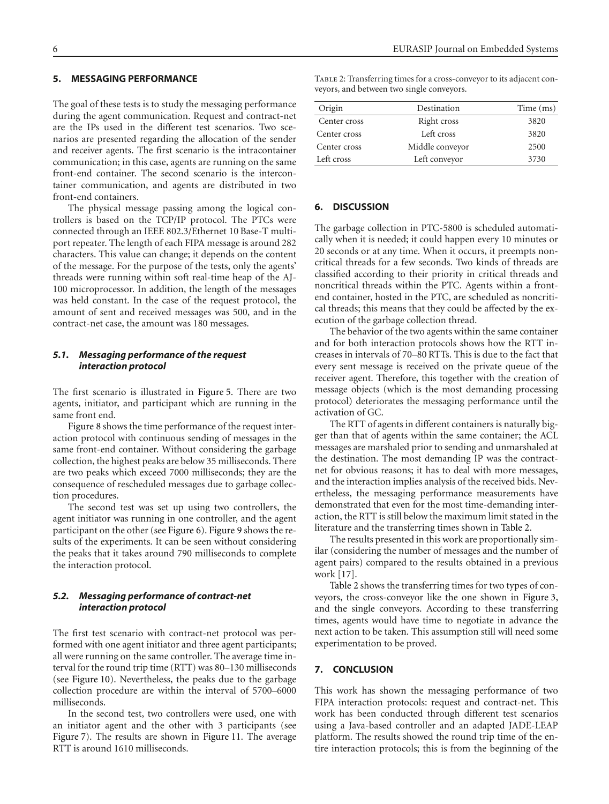# **5. MESSAGING PERFORMANCE**

The goal of these tests is to study the messaging performance during the agent communication. Request and contract-net are the IPs used in the different test scenarios. Two scenarios are presented regarding the allocation of the sender and receiver agents. The first scenario is the intracontainer communication; in this case, agents are running on the same front-end container. The second scenario is the intercontainer communication, and agents are distributed in two front-end containers.

The physical message passing among the logical controllers is based on the TCP/IP protocol. The PTCs were connected through an IEEE 802.3/Ethernet 10 Base-T multiport repeater. The length of each FIPA message is around 282 characters. This value can change; it depends on the content of the message. For the purpose of the tests, only the agents' threads were running within soft real-time heap of the AJ-100 microprocessor. In addition, the length of the messages was held constant. In the case of the request protocol, the amount of sent and received messages was 500, and in the contract-net case, the amount was 180 messages.

# *5.1. Messaging performance of the request interaction protocol*

The first scenario is illustrated in Figure 5. There are two agents, initiator, and participant which are running in the same front end.

Figure 8 shows the time performance of the request interaction protocol with continuous sending of messages in the same front-end container. Without considering the garbage collection, the highest peaks are below 35 milliseconds. There are two peaks which exceed 7000 milliseconds; they are the consequence of rescheduled messages due to garbage collection procedures.

The second test was set up using two controllers, the agent initiator was running in one controller, and the agent participant on the other (see Figure 6). Figure 9 shows the results of the experiments. It can be seen without considering the peaks that it takes around 790 milliseconds to complete the interaction protocol.

#### *5.2. Messaging performance of contract-net interaction protocol*

The first test scenario with contract-net protocol was performed with one agent initiator and three agent participants; all were running on the same controller. The average time interval for the round trip time (RTT) was 80–130 milliseconds (see Figure 10). Nevertheless, the peaks due to the garbage collection procedure are within the interval of 5700–6000 milliseconds.

In the second test, two controllers were used, one with an initiator agent and the other with 3 participants (see Figure 7). The results are shown in Figure 11. The average RTT is around 1610 milliseconds.

Table 2: Transferring times for a cross-conveyor to its adjacent conveyors, and between two single conveyors.

| Origin       | Destination     | Time (ms) |
|--------------|-----------------|-----------|
| Center cross | Right cross     | 3820      |
| Center cross | Left cross      | 3820      |
| Center cross | Middle conveyor | 2500      |
| Left cross   | Left conveyor   | 3730      |

# **6. DISCUSSION**

The garbage collection in PTC-5800 is scheduled automatically when it is needed; it could happen every 10 minutes or 20 seconds or at any time. When it occurs, it preempts noncritical threads for a few seconds. Two kinds of threads are classified according to their priority in critical threads and noncritical threads within the PTC. Agents within a frontend container, hosted in the PTC, are scheduled as noncritical threads; this means that they could be affected by the execution of the garbage collection thread.

The behavior of the two agents within the same container and for both interaction protocols shows how the RTT increases in intervals of 70–80 RTTs. This is due to the fact that every sent message is received on the private queue of the receiver agent. Therefore, this together with the creation of message objects (which is the most demanding processing protocol) deteriorates the messaging performance until the activation of GC.

The RTT of agents in different containers is naturally bigger than that of agents within the same container; the ACL messages are marshaled prior to sending and unmarshaled at the destination. The most demanding IP was the contractnet for obvious reasons; it has to deal with more messages, and the interaction implies analysis of the received bids. Nevertheless, the messaging performance measurements have demonstrated that even for the most time-demanding interaction, the RTT is still below the maximum limit stated in the literature and the transferring times shown in Table 2.

The results presented in this work are proportionally similar (considering the number of messages and the number of agent pairs) compared to the results obtained in a previous work [17].

Table 2 shows the transferring times for two types of conveyors, the cross-conveyor like the one shown in Figure 3, and the single conveyors. According to these transferring times, agents would have time to negotiate in advance the next action to be taken. This assumption still will need some experimentation to be proved.

#### **7. CONCLUSION**

This work has shown the messaging performance of two FIPA interaction protocols: request and contract-net. This work has been conducted through different test scenarios using a Java-based controller and an adapted JADE-LEAP platform. The results showed the round trip time of the entire interaction protocols; this is from the beginning of the